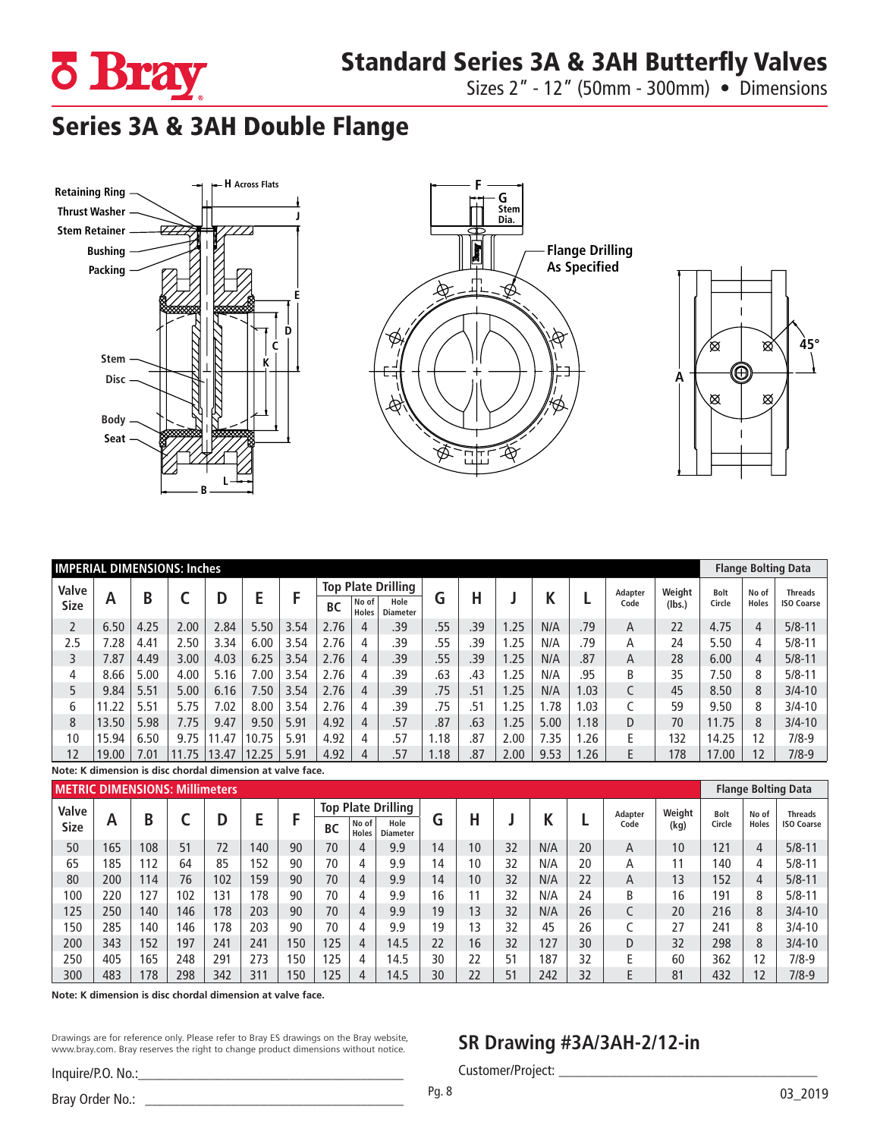

Sizes 2" - 12" (50mm - 300mm) • Dimensions

## Series 3A & 3AH Double Flange







| <b>IMPERIAL DIMENSIONS: Inches</b>                         |       |             |       |       |           |                |                           |   |     |      |     |      |        |      |         |              | <b>Flange Bolting Data</b> |       |                     |
|------------------------------------------------------------|-------|-------------|-------|-------|-----------|----------------|---------------------------|---|-----|------|-----|------|--------|------|---------|--------------|----------------------------|-------|---------------------|
| Valve                                                      |       | B<br>D<br>A |       |       |           |                | <b>Top Plate Drilling</b> |   |     |      |     |      |        |      | Adapter | Weight       | <b>Bolt</b>                | No of | <b>Threads</b>      |
| <b>Size</b>                                                |       |             | E     |       | <b>BC</b> | No of<br>Holes | Hole<br><b>Diameter</b>   | G | Н   |      | N   | Code | (lbs.) |      | Circle  | <b>Holes</b> | <b>ISO Coarse</b>          |       |                     |
| 2                                                          | 6.50  | 4.25        | 2.00  | 2.84  | 5.50      | 3.54           | 2.76                      | 4 | .39 | .55  | .39 | 1.25 | N/A    | .79  | A       | 22           | 4.75                       | 4     | $5/8 - 11$          |
| 2.5                                                        | 7.28  | 4.41        | 2.50  | 3.34  | 6.00      | 3.54           | 2.76                      | 4 | .39 | .55  | .39 | 1.25 | N/A    | .79  | А       | 24           | 5.50                       | 4     | $5/8 - 11$          |
| 3                                                          | 7.87  | 4.49        | 3.00  | 4.03  | 6.25      | 3.54           | 2.76                      | 4 | .39 | .55  | .39 | 1.25 | N/A    | .87  | A       | 28           | 6.00                       | 4     | $5/8 - 11$          |
| 4                                                          | 8.66  | 5.00        | 4.00  | 5.16  | 7.00      | 3.54           | 2.76                      | 4 | .39 | .63  | .43 | 1.25 | N/A    | .95  | B       | 35           | 7.50                       | 8     | $5/8 - 11$          |
| 5                                                          | 9.84  | 5.51        | 5.00  | 6.16  | 7.50      | 3.54           | 2.76                      | 4 | .39 | .75  | .51 | 1.25 | N/A    | 1.03 | C       | 45           | 8.50                       | 8     | $3/4 - 10$          |
| 6                                                          | 11.22 | 5.51        | 5.75  | 7.02  | 8.00      | 3.54           | 2.76                      | 4 | .39 | .75  | .51 | 1.25 | 1.78   | .03  |         | 59           | 9.50                       | 8     | $3/4 - 10$          |
| 8                                                          | 13.50 | 5.98        | 7.75  | 9.47  | 9.50      | 5.91           | 4.92                      | 4 | .57 | .87  | .63 | 1.25 | 5.00   | 1.18 | D       | 70           | 11.75                      | 8     | $3/4 - 10$          |
| 10                                                         | 15.94 | 6.50        | 9.75  | 11.47 | 10.75     | 5.91           | 4.92                      | 4 | .57 | 1.18 | .87 | 2.00 | 7.35   | .26  | E       | 132          | 14.25                      | 12    | $7/8-9$             |
| 12                                                         | 19.00 | 7.01        | 11.75 | 13.47 | 12.25     | 5.91           | 4.92                      | 4 | .57 | 1.18 | .87 | 2.00 | 9.53   | 1.26 | E       | 178          | 17.00                      | 12    | $7/8-9$             |
| Note: K dimension is disc chordal dimension at valve face. |       |             |       |       |           |                |                           |   |     |      |     |      |        |      |         |              |                            |       |                     |
| <b><i>ASETBLE BIARNICIONIC, MILLIONS</i></b>               |       |             |       |       |           |                |                           |   |     |      |     |      |        |      |         |              |                            |       | アドレーション あいしけいし あいえい |

|             | <b>METRIC DIMENSIONS: Millimeters</b> |     |     |     |     |     |                                    |                         |      |    |    |    |     |      |         | <b>Flange Bolting Data</b> |              |                   |                |
|-------------|---------------------------------------|-----|-----|-----|-----|-----|------------------------------------|-------------------------|------|----|----|----|-----|------|---------|----------------------------|--------------|-------------------|----------------|
| Valve       |                                       |     |     |     |     |     | <b>Top Plate Drilling</b>          |                         |      |    |    |    |     |      | Adapter | Weight                     | <b>Bolt</b>  | No of             | <b>Threads</b> |
| <b>Size</b> | A                                     | B   |     | D   |     |     | No of<br><b>BC</b><br><b>Holes</b> | Hole<br><b>Diameter</b> | G    | н  |    |    |     | Code | (kg)    | Circle                     | <b>Holes</b> | <b>ISO Coarse</b> |                |
| 50          | 165                                   | 108 | 51  | 72  | 140 | 90  | 70                                 | 4                       | 9.9  | 14 | 10 | 32 | N/A | 20   | А       | 10                         | 121          | 4                 | $5/8 - 11$     |
| 65          | 185                                   | 112 | 64  | 85  | 52  | 90  | 70                                 | 4                       | 9.9  | 14 | 10 | 32 | N/A | 20   | А       | 11                         | 140          | 4                 | $5/8 - 11$     |
| 80          | 200                                   | 114 | 76  | 102 | 159 | 90  | 70                                 | 4                       | 9.9  | 14 | 10 | 32 | N/A | 22   | A       | 13                         | 152          | $\overline{4}$    | $5/8 - 11$     |
| 100         | 220                                   | 127 | 102 | 131 | 78  | 90  | 70                                 | 4                       | 9.9  | 16 |    | 32 | N/A | 24   | B       | 16                         | 191          | 8                 | $5/8 - 11$     |
| 125         | 250                                   | 140 | 146 | 178 | 203 | 90  | 70                                 | 4                       | 9.9  | 19 | 13 | 32 | N/A | 26   |         | 20                         | 216          | 8                 | $3/4 - 10$     |
| 150         | 285                                   | 140 | 146 | 178 | 203 | 90  | 70                                 | 4                       | 9.9  | 19 | 13 | 32 | 45  | 26   |         | 27                         | 241          | 8                 | $3/4 - 10$     |
| 200         | 343                                   | 152 | 197 | 241 | 241 | 150 | 125                                | 4                       | 14.5 | 22 | 16 | 32 | 127 | 30   | D       | 32                         | 298          | 8                 | $3/4 - 10$     |
| 250         | 405                                   | 165 | 248 | 291 | 273 | 150 | 25                                 | 4                       | 14.5 | 30 | 22 | 51 | 187 | 32   |         | 60                         | 362          | 12                | 7/8-9          |
| 300         | 483                                   | 178 | 298 | 342 | 311 | 150 | 25                                 | 4                       | 14.5 | 30 | 22 | 51 | 242 | 32   |         | 81                         | 432          | 12                | $7/8-9$        |

**Note: K dimension is disc chordal dimension at valve face.**

Drawings are for reference only. Please refer to Bray ES drawings on the Bray website, www.bray.com. Bray reserves the right to change product dimensions without notice.

## Inquire/P.O. No.:

**SR Drawing #3A/3AH-2/12-in**

Customer/Project: